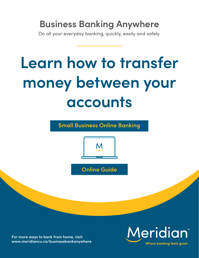# **Business Banking Anywhere**

Do all your everyday banking, quickly, easily and safely.

# **Learn how to transfer money between your accounts**

**Small Business Online Banking** 



**Online Guide** 

**For more ways to bank from home, visit: [www.meridiancu.ca/businessbankanywhere](http://www.meridiancu.ca/businessbankanywhere)**

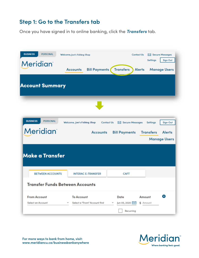#### **Step 1: Go to the Transfers tab**

Once you have signed in to online banking, click the *Transfers* tab.

| <b>BUSINESS</b><br><b>PERSONAL</b><br><b>Meridian</b> | Welcome, Joe's Fishing Shop                        | <b>Contact Us</b>                                        | X Secure Messages<br>Sign Out<br><b>Settings</b>         |
|-------------------------------------------------------|----------------------------------------------------|----------------------------------------------------------|----------------------------------------------------------|
|                                                       | <b>Bill Payments</b><br><b>Accounts</b>            | <b>Transfers</b><br><b>Alerts</b>                        | <b>Manage Users</b>                                      |
| <b>Account Summary</b>                                |                                                    |                                                          |                                                          |
|                                                       |                                                    |                                                          |                                                          |
| <b>BUSINESS</b><br><b>PERSONAL</b>                    | Welcome, Joe's Fishing Shop                        | X Secure Messages<br><b>Contact Us</b>                   | <b>Sign Out</b><br><b>Settings</b>                       |
| <b>Meridian</b>                                       | <b>Accounts</b>                                    | <b>Bill Payments</b>                                     | <b>Transfers</b><br><b>Alerts</b><br><b>Manage Users</b> |
| Make a Transfer                                       |                                                    |                                                          |                                                          |
| <b>BETWEEN ACCOUNTS</b>                               | <b>INTERAC E-TRANSFER</b>                          | <b>CAFT</b>                                              |                                                          |
| <b>Transfer Funds Between Accounts</b>                |                                                    |                                                          |                                                          |
| <b>From Account</b><br><b>Select an Account</b>       | <b>To Account</b><br>Select a "From" Account first | Date<br>Amount<br>Jun 05, 2020<br>\$ Amount<br>Recurring | $\infty$                                                 |



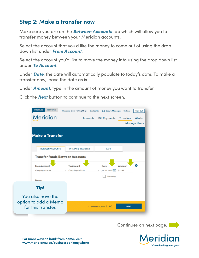#### **Step 2: Make a transfer now**

Make sure you are on the *Between Accounts* tab which will allow you to transfer money between your Meridian accounts.

Select the account that you'd like the money to come out of using the drop down list under *From Account*.

Select the account you'd like to move the money into using the drop down list under *To Account*.

Under *Date*, the date will automatically populate to today's date. To make a transfer now, leave the date as is.

Under *Amount*, type in the amount of money you want to transfer.

Click the *Next* button to continue to the next screen.



Continues on next page.

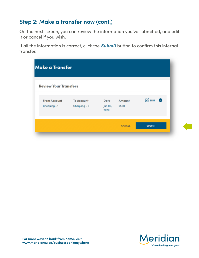## **Step 2: Make a transfer now (cont.)**

On the next screen, you can review the information you've submitted, and edit it or cancel if you wish.

If all the information is correct, click the *Submit* button to confirm this internal transfer.

| <b>Make a Transfer</b>              |                                   |                         |                  |                              |
|-------------------------------------|-----------------------------------|-------------------------|------------------|------------------------------|
| <b>Review Your Transfers</b>        |                                   |                         |                  |                              |
| <b>From Account</b><br>Chequing - 1 | <b>To Account</b><br>Chequing - 0 | Date<br>Jun 05,<br>2020 | Amount<br>\$1.00 | $\mathcal{C}$ EDIT $\otimes$ |
|                                     |                                   |                         | <b>CANCEL</b>    | <b>SUBMIT</b>                |

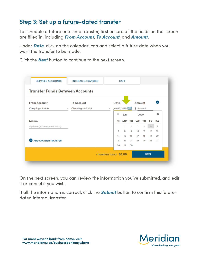## **Step 3: Set up a future-dated transfer**

To schedule a future one-time transfer, first ensure all the fields on the screen are filled in, including *From Account*, *To Account*, and *Amount*.

Under *Date*, click on the calendar icon and select a future date when you want the transfer to be made.

Click the *Next* button to continue to the next screen.

| <b>From Account</b><br>Chequing - 1 \$4.94 | <b>To Account</b><br>Chequing - 0 \$3.55<br>$\overline{\phantom{a}}$ | $\overline{\mathbf{v}}$ | Date<br>Jun 05, 2020 |            |              | Amount<br>\$ Amount |       |    | $\mathbf{x}$ |
|--------------------------------------------|----------------------------------------------------------------------|-------------------------|----------------------|------------|--------------|---------------------|-------|----|--------------|
|                                            |                                                                      |                         | $\circ$              | <b>Jun</b> |              | 2020                |       |    | $\circ$      |
| Memo                                       |                                                                      |                         |                      | SU MO TU   |              | WE TH               |       | FR | SΑ           |
| Optional (30 characters max.)              |                                                                      |                         |                      | 1.         | $\mathbb{Z}$ | $_{\rm 3}$          | 4     | 5  | 6            |
|                                            |                                                                      |                         | 7                    | 8          | 9            | 10                  | 11    | 12 | 13           |
|                                            |                                                                      |                         | 14                   | 15         | 16           | $17^{1}$            | 18    | 19 | 20           |
| <b>O</b> ADD ANOTHER TRANSFER              |                                                                      |                         | 21                   | 22         | 23           |                     | 24 25 | 26 | 27           |
|                                            |                                                                      |                         | 28                   | 29         | 30           |                     |       |    |              |

On the next screen, you can review the information you've submitted, and edit it or cancel if you wish.

If all the information is correct, click the *Submit* button to confirm this futuredated internal transfer.

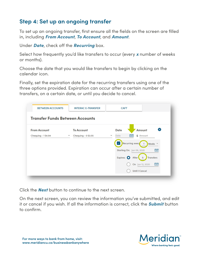#### **Step 4: Set up an ongoing transfer**

To set up an ongoing transfer, first ensure all the fields on the screen are filled in, including *From Account*, *To Account*, and *Amount*.

Under *Date*, check off the *Recurring* box.

Select how frequently you'd like transfers to occur (every *x* number of weeks or months).

Choose the date that you would like transfers to begin by clicking on the calendar icon.

Finally, set the expiration date for the recurring transfers using one of the three options provided. Expiration can occur after a certain number of transfers, on a certain date, or until you decide to cancel.

| <b>Transfer Funds Between Accounts</b> |                          |                     |                          |                           |                         |                    |
|----------------------------------------|--------------------------|---------------------|--------------------------|---------------------------|-------------------------|--------------------|
| <b>From Account</b>                    |                          | <b>To Account</b>   |                          | Date                      | Amount                  | $\infty$           |
| Chequing - 1 \$4.94                    | $\overline{\phantom{a}}$ | Chequing - 0 \$3.55 | $\overline{\phantom{a}}$ | Date                      | \$ Amount               |                    |
|                                        |                          |                     |                          | Recurring every           |                         | Weeks <sup>"</sup> |
|                                        |                          |                     |                          | Starting On: Jun 06, 2020 |                         | <b>ATT</b>         |
|                                        |                          |                     |                          | Expires: O                | 5 <sub>o</sub><br>After | <b>Transfers</b>   |
|                                        |                          |                     |                          |                           | On Jun 12, 2020         | 一                  |
|                                        |                          |                     |                          |                           | <b>Until I Cancel</b>   |                    |

Click the *Next* button to continue to the next screen.

On the next screen, you can review the information you've submitted, and edit it or cancel if you wish. If all the information is correct, click the *Submit* button to confirm.